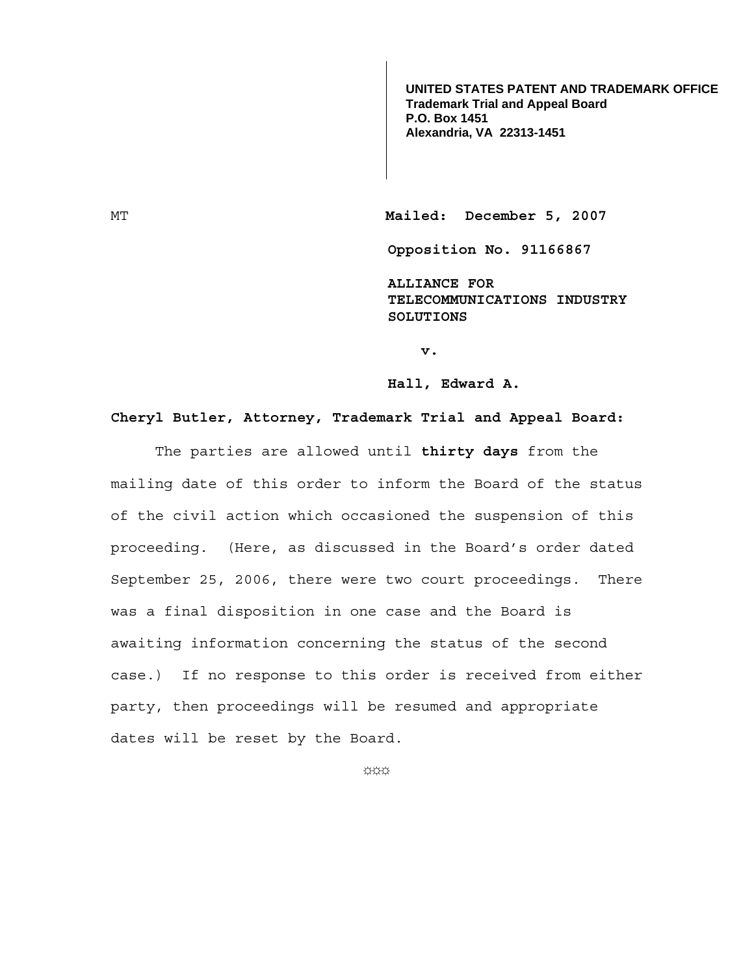**UNITED STATES PATENT AND TRADEMARK OFFICE Trademark Trial and Appeal Board P.O. Box 1451 Alexandria, VA 22313-1451**

MT Mailed: December 5, 2007

**Opposition No. 91166867** 

**ALLIANCE FOR TELECOMMUNICATIONS INDUSTRY SOLUTIONS** 

**v.** 

**Hall, Edward A.**

## **Cheryl Butler, Attorney, Trademark Trial and Appeal Board:**

 The parties are allowed until **thirty days** from the mailing date of this order to inform the Board of the status of the civil action which occasioned the suspension of this proceeding. (Here, as discussed in the Board's order dated September 25, 2006, there were two court proceedings. There was a final disposition in one case and the Board is awaiting information concerning the status of the second case.) If no response to this order is received from either party, then proceedings will be resumed and appropriate dates will be reset by the Board.

☼☼☼